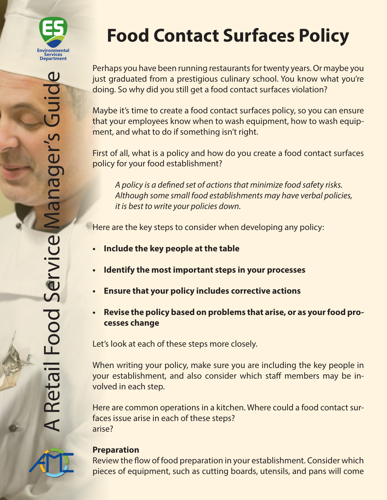

Perhaps you have been running restaurants for twenty years. Or maybe you just graduated from a prestigious culinary school. You know what you're doing. So why did you still get a food contact surfaces violation?

Maybe it's time to create a food contact surfaces policy, so you can ensure that your employees know when to wash equipment, how to wash equipment, and what to do if something isn't right.

First of all, what is a policy and how do you create a food contact surfaces policy for your food establishment?

*A policy is a defined set of actions that minimize food safety risks. Although some small food establishments may have verbal policies, it is best to write your policies down.*

Here are the key steps to consider when developing any policy:

- **• Include the key people at the table**
- **• Identify the most important steps in your processes**
- **• Ensure that your policy includes corrective actions**
- **• Revise the policy based on problems that arise, or as your food processes change**

Let's look at each of these steps more closely.

When writing your policy, make sure you are including the key people in your establishment, and also consider which staff members may be involved in each step.

Here are common operations in a kitchen. Where could a food contact surfaces issue arise in each of these steps? arise?



#### **Preparation**

Review the flow of food preparation in your establishment. Consider which pieces of equipment, such as cutting boards, utensils, and pans will come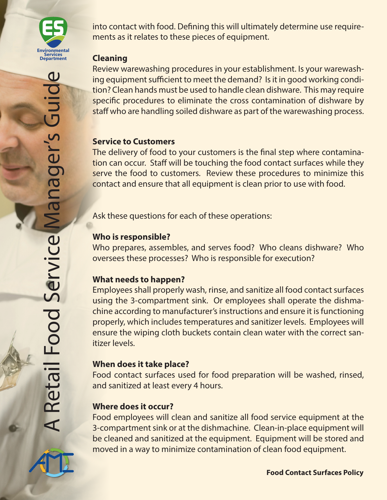

into contact with food. Defining this will ultimately determine use requirements as it relates to these pieces of equipment.

#### **Cleaning**

Review warewashing procedures in your establishment. Is your warewashing equipment sufficient to meet the demand? Is it in good working condition? Clean hands must be used to handle clean dishware. This may require specific procedures to eliminate the cross contamination of dishware by staff who are handling soiled dishware as part of the warewashing process.

#### **Service to Customers**

The delivery of food to your customers is the final step where contamination can occur. Staff will be touching the food contact surfaces while they serve the food to customers. Review these procedures to minimize this contact and ensure that all equipment is clean prior to use with food.

Ask these questions for each of these operations:

# **Who is responsible?**

Who prepares, assembles, and serves food? Who cleans dishware? Who oversees these processes? Who is responsible for execution?

# **What needs to happen?**

Employees shall properly wash, rinse, and sanitize all food contact surfaces using the 3-compartment sink. Or employees shall operate the dishmachine according to manufacturer's instructions and ensure it is functioning properly, which includes temperatures and sanitizer levels. Employees will ensure the wiping cloth buckets contain clean water with the correct sanitizer levels.

# **When does it take place?**

Food contact surfaces used for food preparation will be washed, rinsed, and sanitized at least every 4 hours.

# **Where does it occur?**

Food employees will clean and sanitize all food service equipment at the 3-compartment sink or at the dishmachine. Clean-in-place equipment will be cleaned and sanitized at the equipment. Equipment will be stored and moved in a way to minimize contamination of clean food equipment.